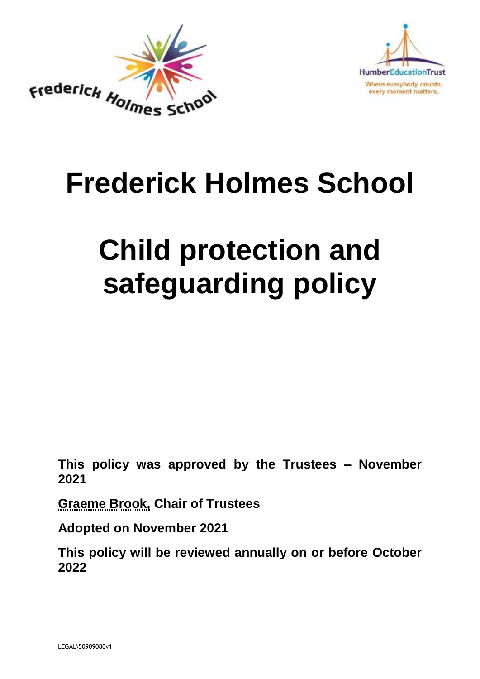



# **Frederick Holmes School**

# **Child protection and safeguarding policy**

**This policy was approved by the Trustees – November 2021**

**Graeme Brook, Chair of Trustees**

**Adopted on November 2021**

**This policy will be reviewed annually on or before October 2022**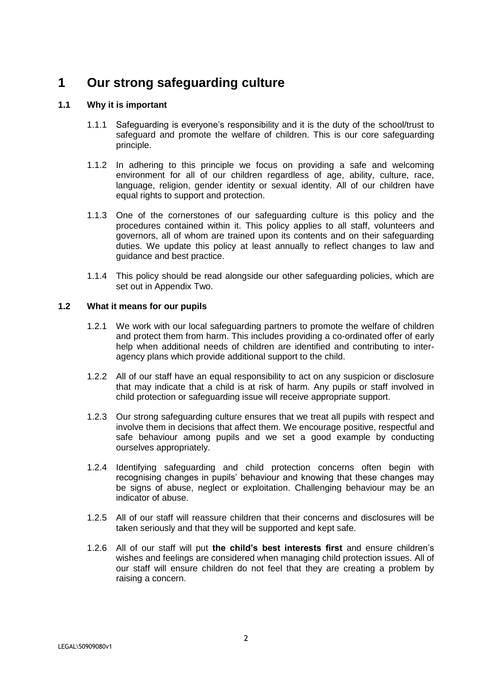# **1 Our strong safeguarding culture**

### **1.1 Why it is important**

- 1.1.1 Safeguarding is everyone's responsibility and it is the duty of the school/trust to safeguard and promote the welfare of children. This is our core safeguarding principle.
- 1.1.2 In adhering to this principle we focus on providing a safe and welcoming environment for all of our children regardless of age, ability, culture, race, language, religion, gender identity or sexual identity. All of our children have equal rights to support and protection.
- 1.1.3 One of the cornerstones of our safeguarding culture is this policy and the procedures contained within it. This policy applies to all staff, volunteers and governors, all of whom are trained upon its contents and on their safeguarding duties. We update this policy at least annually to reflect changes to law and guidance and best practice.
- 1.1.4 This policy should be read alongside our other safeguarding policies, which are set out in Appendix Two.

### **1.2 What it means for our pupils**

- 1.2.1 We work with our local safeguarding partners to promote the welfare of children and protect them from harm. This includes providing a co-ordinated offer of early help when additional needs of children are identified and contributing to interagency plans which provide additional support to the child.
- 1.2.2 All of our staff have an equal responsibility to act on any suspicion or disclosure that may indicate that a child is at risk of harm. Any pupils or staff involved in child protection or safeguarding issue will receive appropriate support.
- 1.2.3 Our strong safeguarding culture ensures that we treat all pupils with respect and involve them in decisions that affect them. We encourage positive, respectful and safe behaviour among pupils and we set a good example by conducting ourselves appropriately.
- 1.2.4 Identifying safeguarding and child protection concerns often begin with recognising changes in pupils' behaviour and knowing that these changes may be signs of abuse, neglect or exploitation. Challenging behaviour may be an indicator of abuse.
- 1.2.5 All of our staff will reassure children that their concerns and disclosures will be taken seriously and that they will be supported and kept safe.
- 1.2.6 All of our staff will put **the child's best interests first** and ensure children's wishes and feelings are considered when managing child protection issues. All of our staff will ensure children do not feel that they are creating a problem by raising a concern.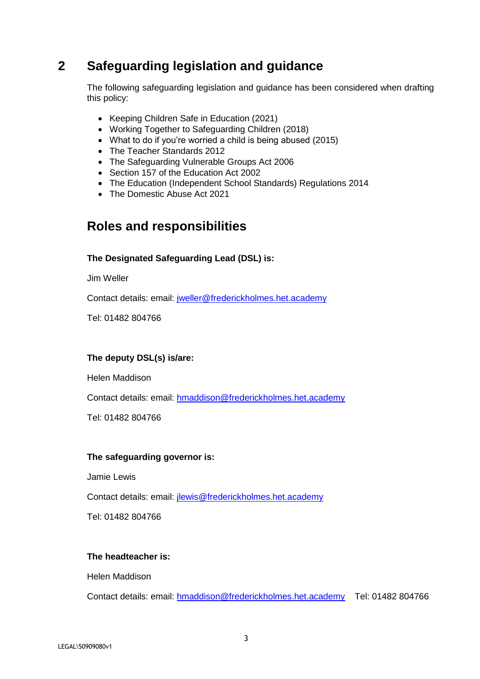### **2 Safeguarding legislation and guidance**

The following safeguarding legislation and guidance has been considered when drafting this policy:

- Keeping Children Safe in Education (2021)
- Working Together to Safeguarding Children (2018)
- What to do if you're worried a child is being abused (2015)
- The Teacher Standards 2012
- The Safeguarding Vulnerable Groups Act 2006
- Section 157 of the Education Act 2002
- The Education (Independent School Standards) Regulations 2014
- The Domestic Abuse Act 2021

### **Roles and responsibilities**

#### **The Designated Safeguarding Lead (DSL) is:**

Jim Weller

Contact details: email: [jweller@frederickholmes.het.academy](mailto:jweller@frederickholmes.het.academy) 

Tel: 01482 804766

#### **The deputy DSL(s) is/are:**

Helen Maddison

Contact details: email: [hmaddison@frederickholmes.het.academy](mailto:hmaddison@frederickholmes.het.academy) 

Tel: 01482 804766

#### **The safeguarding governor is:**

Jamie Lewis

Contact details: email: [jlewis@frederickholmes.het.academy](mailto:jlewis@frederickholmes.het.academy)

Tel: 01482 804766

#### **The headteacher is:**

Helen Maddison

Contact details: email: [hmaddison@frederickholmes.het.academy](mailto:hmaddison@frederickholmes.het.academy) Tel: 01482 804766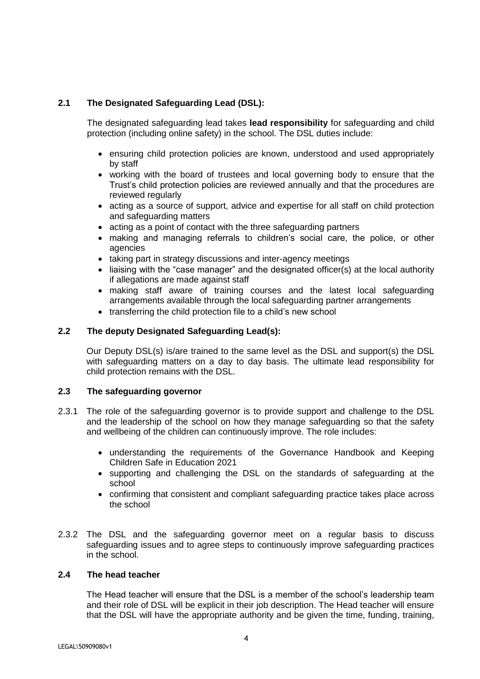### **2.1 The Designated Safeguarding Lead (DSL):**

The designated safeguarding lead takes **lead responsibility** for safeguarding and child protection (including online safety) in the school. The DSL duties include:

- ensuring child protection policies are known, understood and used appropriately by staff
- working with the board of trustees and local governing body to ensure that the Trust's child protection policies are reviewed annually and that the procedures are reviewed regularly
- acting as a source of support, advice and expertise for all staff on child protection and safeguarding matters
- acting as a point of contact with the three safeguarding partners
- making and managing referrals to children's social care, the police, or other agencies
- taking part in strategy discussions and inter-agency meetings
- liaising with the "case manager" and the designated officer(s) at the local authority if allegations are made against staff
- making staff aware of training courses and the latest local safeguarding arrangements available through the local safeguarding partner arrangements
- transferring the child protection file to a child's new school

### **2.2 The deputy Designated Safeguarding Lead(s):**

Our Deputy DSL(s) is/are trained to the same level as the DSL and support(s) the DSL with safeguarding matters on a day to day basis. The ultimate lead responsibility for child protection remains with the DSL.

### **2.3 The safeguarding governor**

- 2.3.1 The role of the safeguarding governor is to provide support and challenge to the DSL and the leadership of the school on how they manage safeguarding so that the safety and wellbeing of the children can continuously improve. The role includes:
	- understanding the requirements of the Governance Handbook and Keeping Children Safe in Education 2021
	- supporting and challenging the DSL on the standards of safeguarding at the school
	- confirming that consistent and compliant safeguarding practice takes place across the school
- 2.3.2 The DSL and the safeguarding governor meet on a regular basis to discuss safeguarding issues and to agree steps to continuously improve safeguarding practices in the school.

#### **2.4 The head teacher**

The Head teacher will ensure that the DSL is a member of the school's leadership team and their role of DSL will be explicit in their job description. The Head teacher will ensure that the DSL will have the appropriate authority and be given the time, funding, training,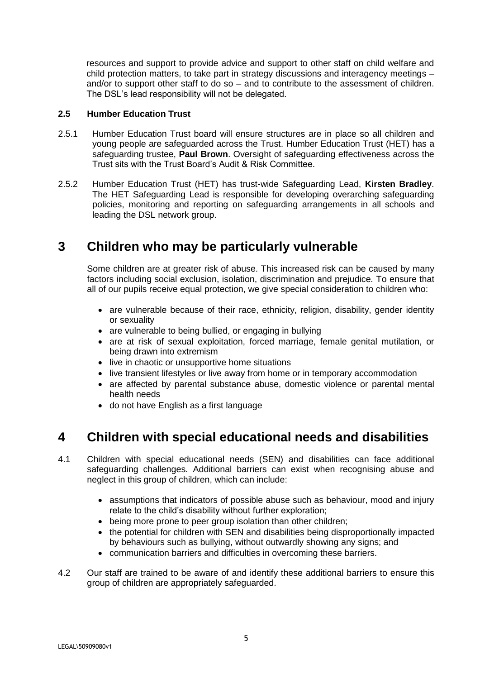resources and support to provide advice and support to other staff on child welfare and child protection matters, to take part in strategy discussions and interagency meetings – and/or to support other staff to do so – and to contribute to the assessment of children. The DSL's lead responsibility will not be delegated.

### **2.5 Humber Education Trust**

- 2.5.1 Humber Education Trust board will ensure structures are in place so all children and young people are safeguarded across the Trust. Humber Education Trust (HET) has a safeguarding trustee, **Paul Brown**. Oversight of safeguarding effectiveness across the Trust sits with the Trust Board's Audit & Risk Committee.
- 2.5.2 Humber Education Trust (HET) has trust-wide Safeguarding Lead, **Kirsten Bradley**. The HET Safeguarding Lead is responsible for developing overarching safeguarding policies, monitoring and reporting on safeguarding arrangements in all schools and leading the DSL network group.

### **3 Children who may be particularly vulnerable**

Some children are at greater risk of abuse. This increased risk can be caused by many factors including social exclusion, isolation, discrimination and prejudice. To ensure that all of our pupils receive equal protection, we give special consideration to children who:

- are vulnerable because of their race, ethnicity, religion, disability, gender identity or sexuality
- are vulnerable to being bullied, or engaging in bullying
- are at risk of sexual exploitation, forced marriage, female genital mutilation, or being drawn into extremism
- live in chaotic or unsupportive home situations
- live transient lifestyles or live away from home or in temporary accommodation
- are affected by parental substance abuse, domestic violence or parental mental health needs
- do not have English as a first language

### **4 Children with special educational needs and disabilities**

- 4.1 Children with special educational needs (SEN) and disabilities can face additional safeguarding challenges. Additional barriers can exist when recognising abuse and neglect in this group of children, which can include:
	- assumptions that indicators of possible abuse such as behaviour, mood and injury relate to the child's disability without further exploration;
	- being more prone to peer group isolation than other children;
	- the potential for children with SEN and disabilities being disproportionally impacted by behaviours such as bullying, without outwardly showing any signs; and
	- communication barriers and difficulties in overcoming these barriers.
- 4.2 Our staff are trained to be aware of and identify these additional barriers to ensure this group of children are appropriately safeguarded.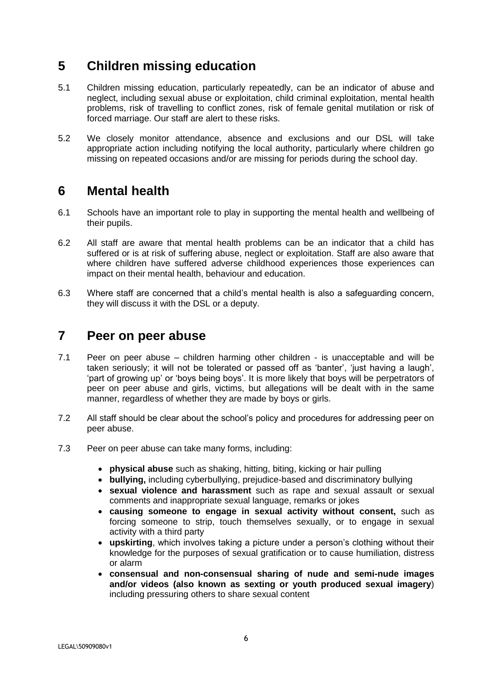### **5 Children missing education**

- 5.1 Children missing education, particularly repeatedly, can be an indicator of abuse and neglect, including sexual abuse or exploitation, child criminal exploitation, mental health problems, risk of travelling to conflict zones, risk of female genital mutilation or risk of forced marriage. Our staff are alert to these risks.
- 5.2 We closely monitor attendance, absence and exclusions and our DSL will take appropriate action including notifying the local authority, particularly where children go missing on repeated occasions and/or are missing for periods during the school day.

### **6 Mental health**

- 6.1 Schools have an important role to play in supporting the mental health and wellbeing of their pupils.
- 6.2 All staff are aware that mental health problems can be an indicator that a child has suffered or is at risk of suffering abuse, neglect or exploitation. Staff are also aware that where children have suffered adverse childhood experiences those experiences can impact on their mental health, behaviour and education.
- 6.3 Where staff are concerned that a child's mental health is also a safeguarding concern, they will discuss it with the DSL or a deputy.

### **7 Peer on peer abuse**

- 7.1 Peer on peer abuse children harming other children is unacceptable and will be taken seriously; it will not be tolerated or passed off as 'banter', 'just having a laugh', 'part of growing up' or 'boys being boys'. It is more likely that boys will be perpetrators of peer on peer abuse and girls, victims, but allegations will be dealt with in the same manner, regardless of whether they are made by boys or girls.
- 7.2 All staff should be clear about the school's policy and procedures for addressing peer on peer abuse.
- 7.3 Peer on peer abuse can take many forms, including:
	- **physical abuse** such as shaking, hitting, biting, kicking or hair pulling
	- **bullying,** including cyberbullying, prejudice-based and discriminatory bullying
	- **sexual violence and harassment** such as rape and sexual assault or sexual comments and inappropriate sexual language, remarks or jokes
	- **causing someone to engage in sexual activity without consent,** such as forcing someone to strip, touch themselves sexually, or to engage in sexual activity with a third party
	- **upskirting**, which involves taking a picture under a person's clothing without their knowledge for the purposes of sexual gratification or to cause humiliation, distress or alarm
	- **consensual and non-consensual sharing of nude and semi-nude images and/or videos (also known as sexting or youth produced sexual imagery**) including pressuring others to share sexual content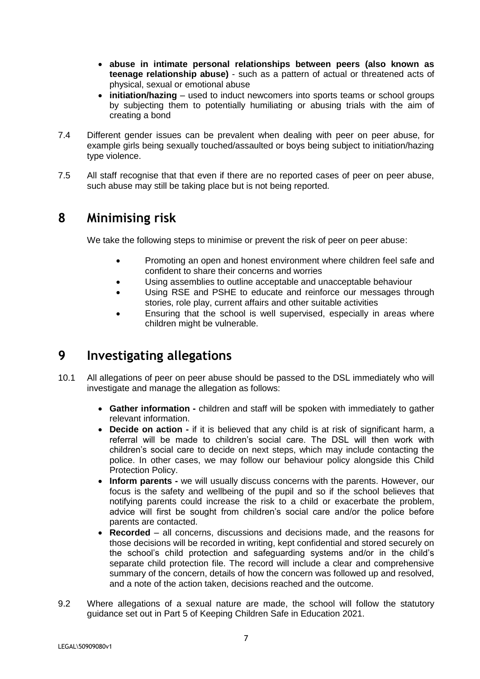- **abuse in intimate personal relationships between peers (also known as teenage relationship abuse)** - such as a pattern of actual or threatened acts of physical, sexual or emotional abuse
- **initiation/hazing** used to induct newcomers into sports teams or school groups by subjecting them to potentially humiliating or abusing trials with the aim of creating a bond
- 7.4 Different gender issues can be prevalent when dealing with peer on peer abuse, for example girls being sexually touched/assaulted or boys being subject to initiation/hazing type violence.
- 7.5 All staff recognise that that even if there are no reported cases of peer on peer abuse, such abuse may still be taking place but is not being reported.

### **8 Minimising risk**

We take the following steps to minimise or prevent the risk of peer on peer abuse:

- Promoting an open and honest environment where children feel safe and confident to share their concerns and worries
- Using assemblies to outline acceptable and unacceptable behaviour
- Using RSE and PSHE to educate and reinforce our messages through stories, role play, current affairs and other suitable activities
- Ensuring that the school is well supervised, especially in areas where children might be vulnerable.

### **9 Investigating allegations**

- 10.1 All allegations of peer on peer abuse should be passed to the DSL immediately who will investigate and manage the allegation as follows:
	- **Gather information -** children and staff will be spoken with immediately to gather relevant information.
	- **Decide on action -** if it is believed that any child is at risk of significant harm, a referral will be made to children's social care. The DSL will then work with children's social care to decide on next steps, which may include contacting the police. In other cases, we may follow our behaviour policy alongside this Child Protection Policy.
	- **Inform parents -** we will usually discuss concerns with the parents. However, our focus is the safety and wellbeing of the pupil and so if the school believes that notifying parents could increase the risk to a child or exacerbate the problem, advice will first be sought from children's social care and/or the police before parents are contacted.
	- **Recorded**  all concerns, discussions and decisions made, and the reasons for those decisions will be recorded in writing, kept confidential and stored securely on the school's child protection and safeguarding systems and/or in the child's separate child protection file. The record will include a clear and comprehensive summary of the concern, details of how the concern was followed up and resolved, and a note of the action taken, decisions reached and the outcome.
- 9.2 Where allegations of a sexual nature are made, the school will follow the statutory guidance set out in Part 5 of Keeping Children Safe in Education 2021.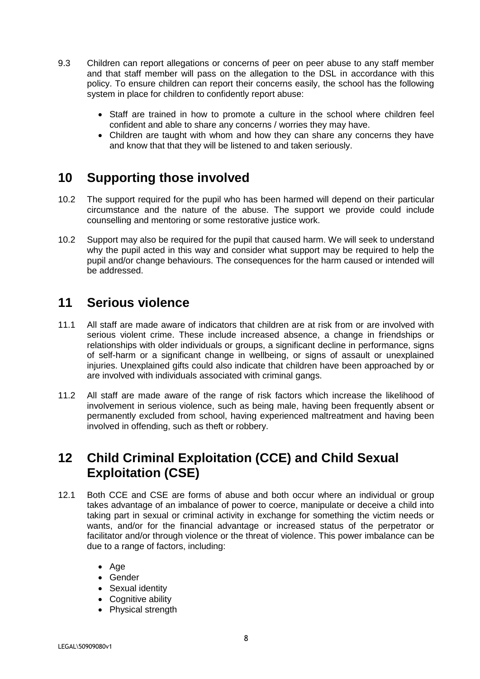- 9.3 Children can report allegations or concerns of peer on peer abuse to any staff member and that staff member will pass on the allegation to the DSL in accordance with this policy. To ensure children can report their concerns easily, the school has the following system in place for children to confidently report abuse:
	- Staff are trained in how to promote a culture in the school where children feel confident and able to share any concerns / worries they may have.
	- Children are taught with whom and how they can share any concerns they have and know that that they will be listened to and taken seriously.

### **10 Supporting those involved**

- 10.2 The support required for the pupil who has been harmed will depend on their particular circumstance and the nature of the abuse. The support we provide could include counselling and mentoring or some restorative justice work.
- 10.2 Support may also be required for the pupil that caused harm. We will seek to understand why the pupil acted in this way and consider what support may be required to help the pupil and/or change behaviours. The consequences for the harm caused or intended will be addressed.

### **11 Serious violence**

- 11.1 All staff are made aware of indicators that children are at risk from or are involved with serious violent crime. These include increased absence, a change in friendships or relationships with older individuals or groups, a significant decline in performance, signs of self-harm or a significant change in wellbeing, or signs of assault or unexplained injuries. Unexplained gifts could also indicate that children have been approached by or are involved with individuals associated with criminal gangs.
- 11.2 All staff are made aware of the range of risk factors which increase the likelihood of involvement in serious violence, such as being male, having been frequently absent or permanently excluded from school, having experienced maltreatment and having been involved in offending, such as theft or robbery.

### **12 Child Criminal Exploitation (CCE) and Child Sexual Exploitation (CSE)**

- 12.1 Both CCE and CSE are forms of abuse and both occur where an individual or group takes advantage of an imbalance of power to coerce, manipulate or deceive a child into taking part in sexual or criminal activity in exchange for something the victim needs or wants, and/or for the financial advantage or increased status of the perpetrator or facilitator and/or through violence or the threat of violence. This power imbalance can be due to a range of factors, including:
	- Age
	- Gender
	- Sexual identity
	- Cognitive ability
	- Physical strength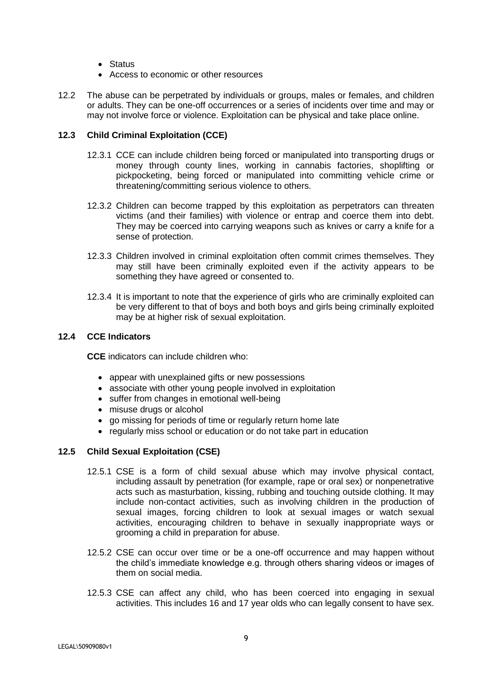- Status
- Access to economic or other resources
- 12.2 The abuse can be perpetrated by individuals or groups, males or females, and children or adults. They can be one-off occurrences or a series of incidents over time and may or may not involve force or violence. Exploitation can be physical and take place online.

### **12.3 Child Criminal Exploitation (CCE)**

- 12.3.1 CCE can include children being forced or manipulated into transporting drugs or money through county lines, working in cannabis factories, shoplifting or pickpocketing, being forced or manipulated into committing vehicle crime or threatening/committing serious violence to others.
- 12.3.2 Children can become trapped by this exploitation as perpetrators can threaten victims (and their families) with violence or entrap and coerce them into debt. They may be coerced into carrying weapons such as knives or carry a knife for a sense of protection.
- 12.3.3 Children involved in criminal exploitation often commit crimes themselves. They may still have been criminally exploited even if the activity appears to be something they have agreed or consented to.
- 12.3.4 It is important to note that the experience of girls who are criminally exploited can be very different to that of boys and both boys and girls being criminally exploited may be at higher risk of sexual exploitation.

#### **12.4 CCE Indicators**

**CCE** indicators can include children who:

- appear with unexplained gifts or new possessions
- associate with other young people involved in exploitation
- suffer from changes in emotional well-being
- misuse drugs or alcohol
- go missing for periods of time or regularly return home late
- regularly miss school or education or do not take part in education

### **12.5 Child Sexual Exploitation (CSE)**

- 12.5.1 CSE is a form of child sexual abuse which may involve physical contact, including assault by penetration (for example, rape or oral sex) or nonpenetrative acts such as masturbation, kissing, rubbing and touching outside clothing. It may include non-contact activities, such as involving children in the production of sexual images, forcing children to look at sexual images or watch sexual activities, encouraging children to behave in sexually inappropriate ways or grooming a child in preparation for abuse.
- 12.5.2 CSE can occur over time or be a one-off occurrence and may happen without the child's immediate knowledge e.g. through others sharing videos or images of them on social media.
- 12.5.3 CSE can affect any child, who has been coerced into engaging in sexual activities. This includes 16 and 17 year olds who can legally consent to have sex.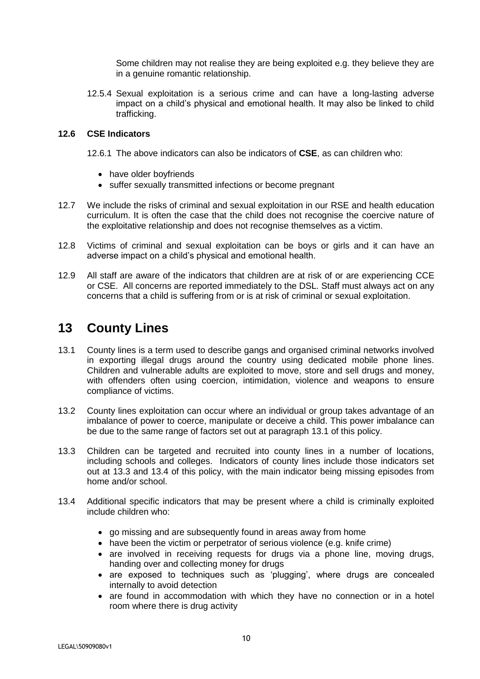Some children may not realise they are being exploited e.g. they believe they are in a genuine romantic relationship.

12.5.4 Sexual exploitation is a serious crime and can have a long-lasting adverse impact on a child's physical and emotional health. It may also be linked to child trafficking.

### **12.6 CSE Indicators**

12.6.1 The above indicators can also be indicators of **CSE**, as can children who:

- have older boyfriends
- suffer sexually transmitted infections or become pregnant
- 12.7 We include the risks of criminal and sexual exploitation in our RSE and health education curriculum. It is often the case that the child does not recognise the coercive nature of the exploitative relationship and does not recognise themselves as a victim.
- 12.8 Victims of criminal and sexual exploitation can be boys or girls and it can have an adverse impact on a child's physical and emotional health.
- 12.9 All staff are aware of the indicators that children are at risk of or are experiencing CCE or CSE. All concerns are reported immediately to the DSL. Staff must always act on any concerns that a child is suffering from or is at risk of criminal or sexual exploitation.

### **13 County Lines**

- 13.1 County lines is a term used to describe gangs and organised criminal networks involved in exporting illegal drugs around the country using dedicated mobile phone lines. Children and vulnerable adults are exploited to move, store and sell drugs and money, with offenders often using coercion, intimidation, violence and weapons to ensure compliance of victims.
- 13.2 County lines exploitation can occur where an individual or group takes advantage of an imbalance of power to coerce, manipulate or deceive a child. This power imbalance can be due to the same range of factors set out at paragraph 13.1 of this policy.
- 13.3 Children can be targeted and recruited into county lines in a number of locations, including schools and colleges. Indicators of county lines include those indicators set out at 13.3 and 13.4 of this policy, with the main indicator being missing episodes from home and/or school.
- 13.4 Additional specific indicators that may be present where a child is criminally exploited include children who:
	- go missing and are subsequently found in areas away from home
	- have been the victim or perpetrator of serious violence (e.g. knife crime)
	- are involved in receiving requests for drugs via a phone line, moving drugs, handing over and collecting money for drugs
	- are exposed to techniques such as 'plugging', where drugs are concealed internally to avoid detection
	- are found in accommodation with which they have no connection or in a hotel room where there is drug activity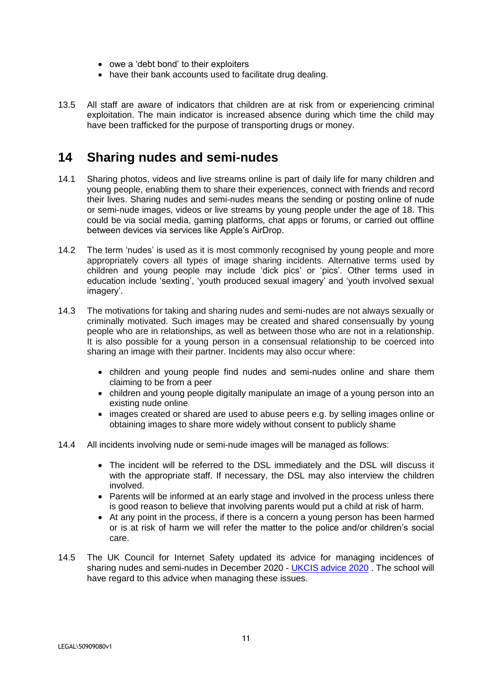- owe a 'debt bond' to their exploiters
- have their bank accounts used to facilitate drug dealing.
- 13.5 All staff are aware of indicators that children are at risk from or experiencing criminal exploitation. The main indicator is increased absence during which time the child may have been trafficked for the purpose of transporting drugs or money.

### **14 Sharing nudes and semi-nudes**

- 14.1 Sharing photos, videos and live streams online is part of daily life for many children and young people, enabling them to share their experiences, connect with friends and record their lives. Sharing nudes and semi-nudes means the sending or posting online of nude or semi-nude images, videos or live streams by young people under the age of 18. This could be via social media, gaming platforms, chat apps or forums, or carried out offline between devices via services like Apple's AirDrop.
- 14.2 The term 'nudes' is used as it is most commonly recognised by young people and more appropriately covers all types of image sharing incidents. Alternative terms used by children and young people may include 'dick pics' or 'pics'. Other terms used in education include 'sexting', 'youth produced sexual imagery' and 'youth involved sexual imagery'.
- 14.3 The motivations for taking and sharing nudes and semi-nudes are not always sexually or criminally motivated. Such images may be created and shared consensually by young people who are in relationships, as well as between those who are not in a relationship. It is also possible for a young person in a consensual relationship to be coerced into sharing an image with their partner. Incidents may also occur where:
	- children and young people find nudes and semi-nudes online and share them claiming to be from a peer
	- children and young people digitally manipulate an image of a young person into an existing nude online
	- images created or shared are used to abuse peers e.g. by selling images online or obtaining images to share more widely without consent to publicly shame
- 14.4 All incidents involving nude or semi-nude images will be managed as follows:
	- The incident will be referred to the DSL immediately and the DSL will discuss it with the appropriate staff. If necessary, the DSL may also interview the children involved.
	- Parents will be informed at an early stage and involved in the process unless there is good reason to believe that involving parents would put a child at risk of harm.
	- At any point in the process, if there is a concern a young person has been harmed or is at risk of harm we will refer the matter to the police and/or children's social care.
- 14.5 The UK Council for Internet Safety updated its advice for managing incidences of sharing nudes and semi-nudes in December 2020 - [UKCIS advice 2020](https://www.gov.uk/government/publications/sharing-nudes-and-semi-nudes-advice-for-education-settings-working-with-children-and-young-people/sharing-nudes-and-semi-nudes-advice-for-education-settings-working-with-children-and-young-people) . The school will have regard to this advice when managing these issues.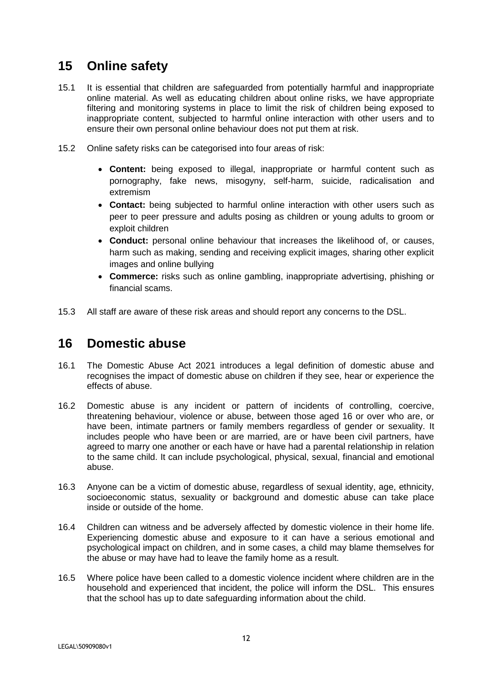### **15 Online safety**

- 15.1 It is essential that children are safeguarded from potentially harmful and inappropriate online material. As well as educating children about online risks, we have appropriate filtering and monitoring systems in place to limit the risk of children being exposed to inappropriate content, subjected to harmful online interaction with other users and to ensure their own personal online behaviour does not put them at risk.
- 15.2 Online safety risks can be categorised into four areas of risk:
	- **Content:** being exposed to illegal, inappropriate or harmful content such as pornography, fake news, misogyny, self-harm, suicide, radicalisation and extremism
	- **Contact:** being subjected to harmful online interaction with other users such as peer to peer pressure and adults posing as children or young adults to groom or exploit children
	- **Conduct:** personal online behaviour that increases the likelihood of, or causes, harm such as making, sending and receiving explicit images, sharing other explicit images and online bullying
	- **Commerce:** risks such as online gambling, inappropriate advertising, phishing or financial scams.
- 15.3 All staff are aware of these risk areas and should report any concerns to the DSL.

### **16 Domestic abuse**

- 16.1 The Domestic Abuse Act 2021 introduces a legal definition of domestic abuse and recognises the impact of domestic abuse on children if they see, hear or experience the effects of abuse.
- 16.2 Domestic abuse is any incident or pattern of incidents of controlling, coercive, threatening behaviour, violence or abuse, between those aged 16 or over who are, or have been, intimate partners or family members regardless of gender or sexuality. It includes people who have been or are married, are or have been civil partners, have agreed to marry one another or each have or have had a parental relationship in relation to the same child. It can include psychological, physical, sexual, financial and emotional abuse.
- 16.3 Anyone can be a victim of domestic abuse, regardless of sexual identity, age, ethnicity, socioeconomic status, sexuality or background and domestic abuse can take place inside or outside of the home.
- 16.4 Children can witness and be adversely affected by domestic violence in their home life. Experiencing domestic abuse and exposure to it can have a serious emotional and psychological impact on children, and in some cases, a child may blame themselves for the abuse or may have had to leave the family home as a result.
- 16.5 Where police have been called to a domestic violence incident where children are in the household and experienced that incident, the police will inform the DSL. This ensures that the school has up to date safeguarding information about the child.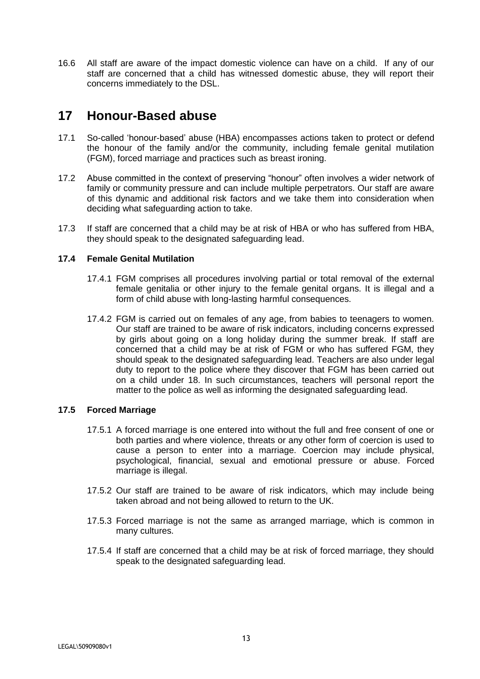16.6 All staff are aware of the impact domestic violence can have on a child. If any of our staff are concerned that a child has witnessed domestic abuse, they will report their concerns immediately to the DSL.

### **17 Honour-Based abuse**

- 17.1 So-called 'honour-based' abuse (HBA) encompasses actions taken to protect or defend the honour of the family and/or the community, including female genital mutilation (FGM), forced marriage and practices such as breast ironing.
- 17.2 Abuse committed in the context of preserving "honour" often involves a wider network of family or community pressure and can include multiple perpetrators. Our staff are aware of this dynamic and additional risk factors and we take them into consideration when deciding what safeguarding action to take.
- 17.3 If staff are concerned that a child may be at risk of HBA or who has suffered from HBA, they should speak to the designated safeguarding lead.

### **17.4 Female Genital Mutilation**

- 17.4.1 FGM comprises all procedures involving partial or total removal of the external female genitalia or other injury to the female genital organs. It is illegal and a form of child abuse with long-lasting harmful consequences.
- 17.4.2 FGM is carried out on females of any age, from babies to teenagers to women. Our staff are trained to be aware of risk indicators, including concerns expressed by girls about going on a long holiday during the summer break. If staff are concerned that a child may be at risk of FGM or who has suffered FGM, they should speak to the designated safeguarding lead. Teachers are also under legal duty to report to the police where they discover that FGM has been carried out on a child under 18. In such circumstances, teachers will personal report the matter to the police as well as informing the designated safeguarding lead.

### **17.5 Forced Marriage**

- 17.5.1 A forced marriage is one entered into without the full and free consent of one or both parties and where violence, threats or any other form of coercion is used to cause a person to enter into a marriage. Coercion may include physical, psychological, financial, sexual and emotional pressure or abuse. Forced marriage is illegal.
- 17.5.2 Our staff are trained to be aware of risk indicators, which may include being taken abroad and not being allowed to return to the UK.
- 17.5.3 Forced marriage is not the same as arranged marriage, which is common in many cultures.
- 17.5.4 If staff are concerned that a child may be at risk of forced marriage, they should speak to the designated safeguarding lead.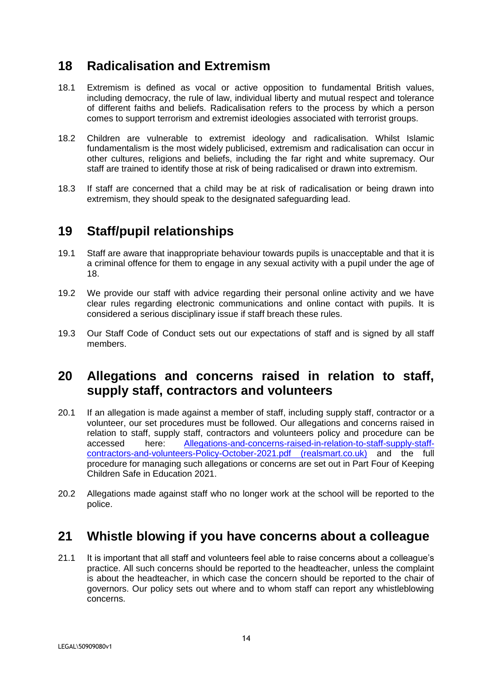### **18 Radicalisation and Extremism**

- 18.1 Extremism is defined as vocal or active opposition to fundamental British values, including democracy, the rule of law, individual liberty and mutual respect and tolerance of different faiths and beliefs. Radicalisation refers to the process by which a person comes to support terrorism and extremist ideologies associated with terrorist groups.
- 18.2 Children are vulnerable to extremist ideology and radicalisation. Whilst Islamic fundamentalism is the most widely publicised, extremism and radicalisation can occur in other cultures, religions and beliefs, including the far right and white supremacy. Our staff are trained to identify those at risk of being radicalised or drawn into extremism.
- 18.3 If staff are concerned that a child may be at risk of radicalisation or being drawn into extremism, they should speak to the designated safeguarding lead.

### **19 Staff/pupil relationships**

- 19.1 Staff are aware that inappropriate behaviour towards pupils is unacceptable and that it is a criminal offence for them to engage in any sexual activity with a pupil under the age of 18.
- 19.2 We provide our staff with advice regarding their personal online activity and we have clear rules regarding electronic communications and online contact with pupils. It is considered a serious disciplinary issue if staff breach these rules.
- 19.3 Our Staff Code of Conduct sets out our expectations of staff and is signed by all staff members.

### **20 Allegations and concerns raised in relation to staff, supply staff, contractors and volunteers**

- 20.1 If an allegation is made against a member of staff, including supply staff, contractor or a volunteer, our set procedures must be followed. Our allegations and concerns raised in relation to staff, supply staff, contractors and volunteers policy and procedure can be accessed here: [Allegations-and-concerns-raised-in-relation-to-staff-supply-staff](https://cdn.realsmart.co.uk/5652dfa05b45b26b2ffe46c7b8727296/uploads/2021/10/06083051/Allegations-and-concerns-raised-in-relation-to-staff-supply-staff-contractors-and-volunteers-Policy-October-2021.pdf)[contractors-and-volunteers-Policy-October-2021.pdf \(realsmart.co.uk\)](https://cdn.realsmart.co.uk/5652dfa05b45b26b2ffe46c7b8727296/uploads/2021/10/06083051/Allegations-and-concerns-raised-in-relation-to-staff-supply-staff-contractors-and-volunteers-Policy-October-2021.pdf) and the full procedure for managing such allegations or concerns are set out in Part Four of Keeping Children Safe in Education 2021.
- 20.2 Allegations made against staff who no longer work at the school will be reported to the police.

### **21 Whistle blowing if you have concerns about a colleague**

21.1 It is important that all staff and volunteers feel able to raise concerns about a colleague's practice. All such concerns should be reported to the headteacher, unless the complaint is about the headteacher, in which case the concern should be reported to the chair of governors. Our policy sets out where and to whom staff can report any whistleblowing concerns.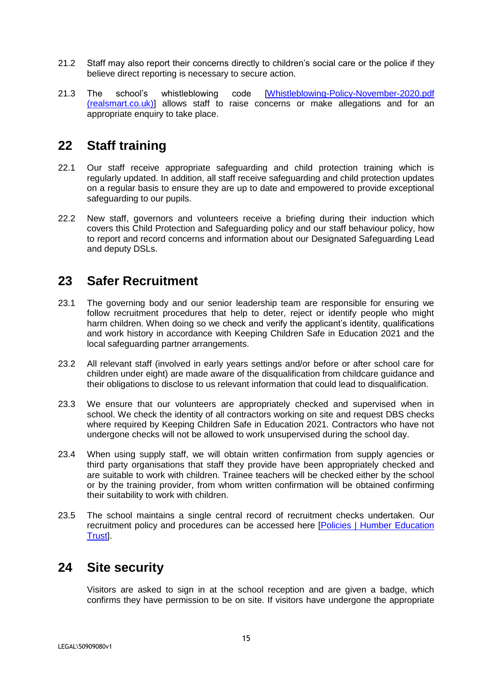- 21.2 Staff may also report their concerns directly to children's social care or the police if they believe direct reporting is necessary to secure action.
- 21.3 The school's whistleblowing code [\[Whistleblowing-Policy-November-2020.pdf](https://cdn.realsmart.co.uk/5652dfa05b45b26b2ffe46c7b8727296/uploads/2020/10/26071448/Whistleblowing-Policy-November-2020.pdf)  [\(realsmart.co.uk\)\]](https://cdn.realsmart.co.uk/5652dfa05b45b26b2ffe46c7b8727296/uploads/2020/10/26071448/Whistleblowing-Policy-November-2020.pdf) allows staff to raise concerns or make allegations and for an appropriate enquiry to take place.

### **22 Staff training**

- 22.1 Our staff receive appropriate safeguarding and child protection training which is regularly updated. In addition, all staff receive safeguarding and child protection updates on a regular basis to ensure they are up to date and empowered to provide exceptional safeguarding to our pupils.
- 22.2 New staff, governors and volunteers receive a briefing during their induction which covers this Child Protection and Safeguarding policy and our staff behaviour policy, how to report and record concerns and information about our Designated Safeguarding Lead and deputy DSLs.

### **23 Safer Recruitment**

- 23.1 The governing body and our senior leadership team are responsible for ensuring we follow recruitment procedures that help to deter, reject or identify people who might harm children. When doing so we check and verify the applicant's identity, qualifications and work history in accordance with Keeping Children Safe in Education 2021 and the local safeguarding partner arrangements.
- 23.2 All relevant staff (involved in early years settings and/or before or after school care for children under eight) are made aware of the disqualification from childcare guidance and their obligations to disclose to us relevant information that could lead to disqualification.
- 23.3 We ensure that our volunteers are appropriately checked and supervised when in school. We check the identity of all contractors working on site and request DBS checks where required by Keeping Children Safe in Education 2021. Contractors who have not undergone checks will not be allowed to work unsupervised during the school day.
- 23.4 When using supply staff, we will obtain written confirmation from supply agencies or third party organisations that staff they provide have been appropriately checked and are suitable to work with children. Trainee teachers will be checked either by the school or by the training provider, from whom written confirmation will be obtained confirming their suitability to work with children.
- 23.5 The school maintains a single central record of recruitment checks undertaken. Our recruitment policy and procedures can be accessed here [\[Policies | Humber Education](https://www.humbereducationtrust.co.uk/policies/)  [Trust\]](https://www.humbereducationtrust.co.uk/policies/).

### **24 Site security**

Visitors are asked to sign in at the school reception and are given a badge, which confirms they have permission to be on site. If visitors have undergone the appropriate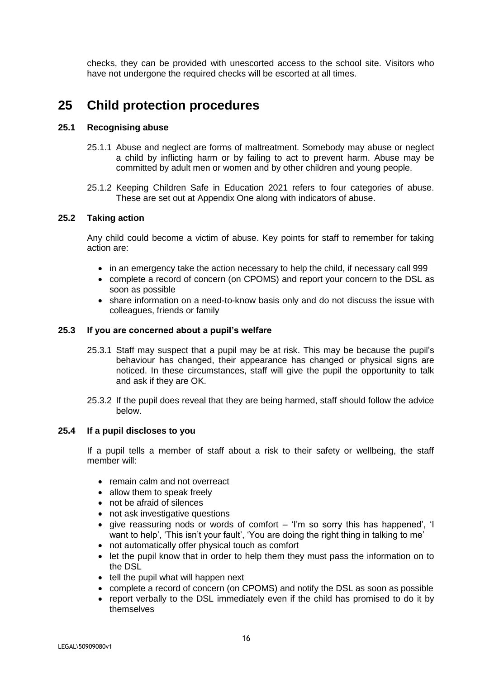checks, they can be provided with unescorted access to the school site. Visitors who have not undergone the required checks will be escorted at all times.

### **25 Child protection procedures**

### **25.1 Recognising abuse**

- 25.1.1 Abuse and neglect are forms of maltreatment. Somebody may abuse or neglect a child by inflicting harm or by failing to act to prevent harm. Abuse may be committed by adult men or women and by other children and young people.
- 25.1.2 Keeping Children Safe in Education 2021 refers to four categories of abuse. These are set out at Appendix One along with indicators of abuse.

#### **25.2 Taking action**

Any child could become a victim of abuse. Key points for staff to remember for taking action are:

- in an emergency take the action necessary to help the child, if necessary call 999
- complete a record of concern (on CPOMS) and report your concern to the DSL as soon as possible
- share information on a need-to-know basis only and do not discuss the issue with colleagues, friends or family

#### **25.3 If you are concerned about a pupil's welfare**

- 25.3.1 Staff may suspect that a pupil may be at risk. This may be because the pupil's behaviour has changed, their appearance has changed or physical signs are noticed. In these circumstances, staff will give the pupil the opportunity to talk and ask if they are OK.
- 25.3.2 If the pupil does reveal that they are being harmed, staff should follow the advice below.

#### **25.4 If a pupil discloses to you**

If a pupil tells a member of staff about a risk to their safety or wellbeing, the staff member will:

- remain calm and not overreact
- allow them to speak freely
- not be afraid of silences
- not ask investigative questions
- give reassuring nods or words of comfort 'I'm so sorry this has happened', 'I want to help', 'This isn't your fault', 'You are doing the right thing in talking to me'
- not automatically offer physical touch as comfort
- let the pupil know that in order to help them they must pass the information on to the DSL
- tell the pupil what will happen next
- complete a record of concern (on CPOMS) and notify the DSL as soon as possible
- report verbally to the DSL immediately even if the child has promised to do it by themselves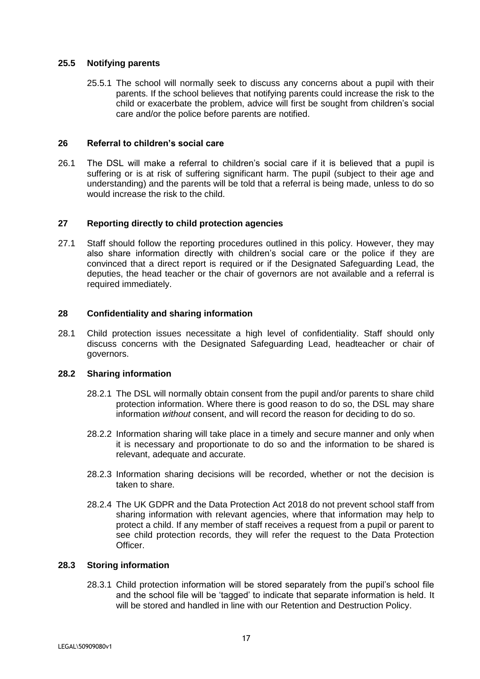### **25.5 Notifying parents**

25.5.1 The school will normally seek to discuss any concerns about a pupil with their parents. If the school believes that notifying parents could increase the risk to the child or exacerbate the problem, advice will first be sought from children's social care and/or the police before parents are notified.

#### **26 Referral to children's social care**

26.1 The DSL will make a referral to children's social care if it is believed that a pupil is suffering or is at risk of suffering significant harm. The pupil (subject to their age and understanding) and the parents will be told that a referral is being made, unless to do so would increase the risk to the child.

#### **27 Reporting directly to child protection agencies**

27.1 Staff should follow the reporting procedures outlined in this policy. However, they may also share information directly with children's social care or the police if they are convinced that a direct report is required or if the Designated Safeguarding Lead, the deputies, the head teacher or the chair of governors are not available and a referral is required immediately.

#### **28 Confidentiality and sharing information**

28.1 Child protection issues necessitate a high level of confidentiality. Staff should only discuss concerns with the Designated Safeguarding Lead, headteacher or chair of governors.

#### **28.2 Sharing information**

- 28.2.1 The DSL will normally obtain consent from the pupil and/or parents to share child protection information. Where there is good reason to do so, the DSL may share information *without* consent, and will record the reason for deciding to do so.
- 28.2.2 Information sharing will take place in a timely and secure manner and only when it is necessary and proportionate to do so and the information to be shared is relevant, adequate and accurate.
- 28.2.3 Information sharing decisions will be recorded, whether or not the decision is taken to share.
- 28.2.4 The UK GDPR and the Data Protection Act 2018 do not prevent school staff from sharing information with relevant agencies, where that information may help to protect a child. If any member of staff receives a request from a pupil or parent to see child protection records, they will refer the request to the Data Protection Officer.

#### **28.3 Storing information**

28.3.1 Child protection information will be stored separately from the pupil's school file and the school file will be 'tagged' to indicate that separate information is held. It will be stored and handled in line with our Retention and Destruction Policy.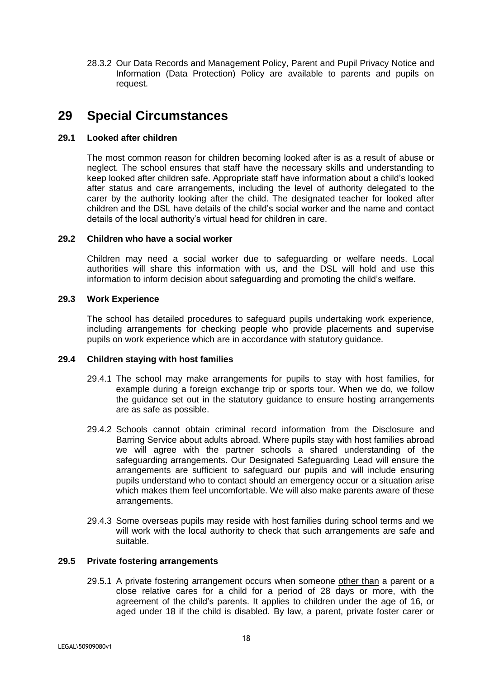28.3.2 Our Data Records and Management Policy, Parent and Pupil Privacy Notice and Information (Data Protection) Policy are available to parents and pupils on request.

### **29 Special Circumstances**

### **29.1 Looked after children**

The most common reason for children becoming looked after is as a result of abuse or neglect. The school ensures that staff have the necessary skills and understanding to keep looked after children safe. Appropriate staff have information about a child's looked after status and care arrangements, including the level of authority delegated to the carer by the authority looking after the child. The designated teacher for looked after children and the DSL have details of the child's social worker and the name and contact details of the local authority's virtual head for children in care.

#### **29.2 Children who have a social worker**

Children may need a social worker due to safeguarding or welfare needs. Local authorities will share this information with us, and the DSL will hold and use this information to inform decision about safeguarding and promoting the child's welfare.

### **29.3 Work Experience**

The school has detailed procedures to safeguard pupils undertaking work experience, including arrangements for checking people who provide placements and supervise pupils on work experience which are in accordance with statutory guidance.

### **29.4 Children staying with host families**

- 29.4.1 The school may make arrangements for pupils to stay with host families, for example during a foreign exchange trip or sports tour. When we do, we follow the guidance set out in the statutory guidance to ensure hosting arrangements are as safe as possible.
- 29.4.2 Schools cannot obtain criminal record information from the Disclosure and Barring Service about adults abroad. Where pupils stay with host families abroad we will agree with the partner schools a shared understanding of the safeguarding arrangements. Our Designated Safeguarding Lead will ensure the arrangements are sufficient to safeguard our pupils and will include ensuring pupils understand who to contact should an emergency occur or a situation arise which makes them feel uncomfortable. We will also make parents aware of these arrangements.
- 29.4.3 Some overseas pupils may reside with host families during school terms and we will work with the local authority to check that such arrangements are safe and suitable.

#### **29.5 Private fostering arrangements**

29.5.1 A private fostering arrangement occurs when someone other than a parent or a close relative cares for a child for a period of 28 days or more, with the agreement of the child's parents. It applies to children under the age of 16, or aged under 18 if the child is disabled. By law, a parent, private foster carer or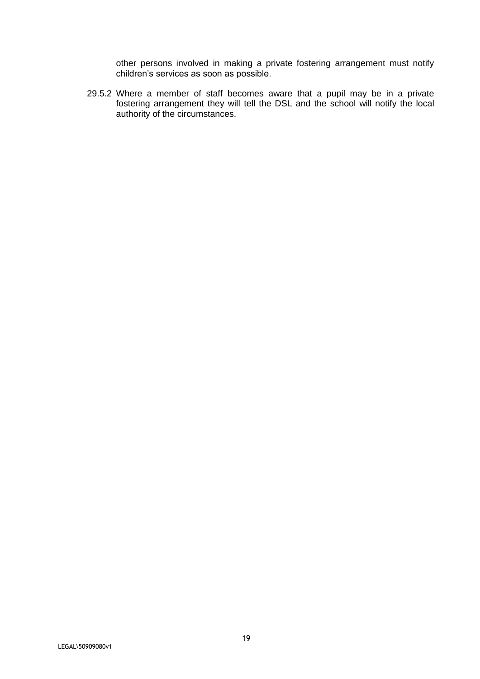other persons involved in making a private fostering arrangement must notify children's services as soon as possible.

29.5.2 Where a member of staff becomes aware that a pupil may be in a private fostering arrangement they will tell the DSL and the school will notify the local authority of the circumstances.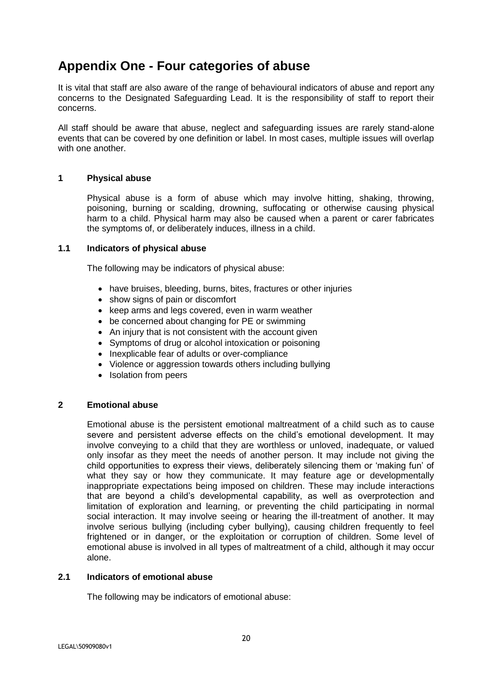### **Appendix One - Four categories of abuse**

It is vital that staff are also aware of the range of behavioural indicators of abuse and report any concerns to the Designated Safeguarding Lead. It is the responsibility of staff to report their concerns.

All staff should be aware that abuse, neglect and safeguarding issues are rarely stand-alone events that can be covered by one definition or label. In most cases, multiple issues will overlap with one another.

### **1 Physical abuse**

Physical abuse is a form of abuse which may involve hitting, shaking, throwing, poisoning, burning or scalding, drowning, suffocating or otherwise causing physical harm to a child. Physical harm may also be caused when a parent or carer fabricates the symptoms of, or deliberately induces, illness in a child.

#### **1.1 Indicators of physical abuse**

The following may be indicators of physical abuse:

- have bruises, bleeding, burns, bites, fractures or other injuries
- show signs of pain or discomfort
- keep arms and legs covered, even in warm weather
- be concerned about changing for PE or swimming
- An injury that is not consistent with the account given
- Symptoms of drug or alcohol intoxication or poisoning
- Inexplicable fear of adults or over-compliance
- Violence or aggression towards others including bullying
- Isolation from peers

#### **2 Emotional abuse**

Emotional abuse is the persistent emotional maltreatment of a child such as to cause severe and persistent adverse effects on the child's emotional development. It may involve conveying to a child that they are worthless or unloved, inadequate, or valued only insofar as they meet the needs of another person. It may include not giving the child opportunities to express their views, deliberately silencing them or 'making fun' of what they say or how they communicate. It may feature age or developmentally inappropriate expectations being imposed on children. These may include interactions that are beyond a child's developmental capability, as well as overprotection and limitation of exploration and learning, or preventing the child participating in normal social interaction. It may involve seeing or hearing the ill-treatment of another. It may involve serious bullying (including cyber bullying), causing children frequently to feel frightened or in danger, or the exploitation or corruption of children. Some level of emotional abuse is involved in all types of maltreatment of a child, although it may occur alone.

### **2.1 Indicators of emotional abuse**

The following may be indicators of emotional abuse: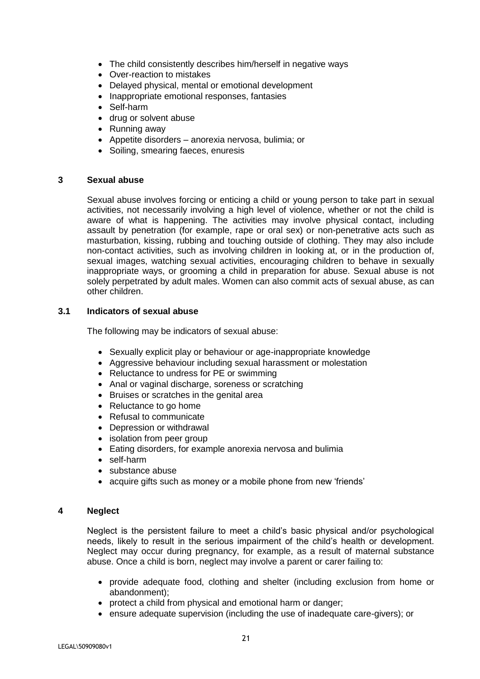- The child consistently describes him/herself in negative ways
- Over-reaction to mistakes
- Delayed physical, mental or emotional development
- Inappropriate emotional responses, fantasies
- Self-harm
- drug or solvent abuse
- Running away
- Appetite disorders anorexia nervosa, bulimia; or
- Soiling, smearing faeces, enuresis

#### **3 Sexual abuse**

Sexual abuse involves forcing or enticing a child or young person to take part in sexual activities, not necessarily involving a high level of violence, whether or not the child is aware of what is happening. The activities may involve physical contact, including assault by penetration (for example, rape or oral sex) or non-penetrative acts such as masturbation, kissing, rubbing and touching outside of clothing. They may also include non-contact activities, such as involving children in looking at, or in the production of, sexual images, watching sexual activities, encouraging children to behave in sexually inappropriate ways, or grooming a child in preparation for abuse. Sexual abuse is not solely perpetrated by adult males. Women can also commit acts of sexual abuse, as can other children.

#### **3.1 Indicators of sexual abuse**

The following may be indicators of sexual abuse:

- Sexually explicit play or behaviour or age-inappropriate knowledge
- Aggressive behaviour including sexual harassment or molestation
- Reluctance to undress for PE or swimming
- Anal or vaginal discharge, soreness or scratching
- Bruises or scratches in the genital area
- Reluctance to go home
- Refusal to communicate
- Depression or withdrawal
- isolation from peer group
- Eating disorders, for example anorexia nervosa and bulimia
- self-harm
- substance abuse
- acquire gifts such as money or a mobile phone from new 'friends'

#### **4 Neglect**

Neglect is the persistent failure to meet a child's basic physical and/or psychological needs, likely to result in the serious impairment of the child's health or development. Neglect may occur during pregnancy, for example, as a result of maternal substance abuse. Once a child is born, neglect may involve a parent or carer failing to:

- provide adequate food, clothing and shelter (including exclusion from home or abandonment);
- protect a child from physical and emotional harm or danger;
- ensure adequate supervision (including the use of inadequate care-givers); or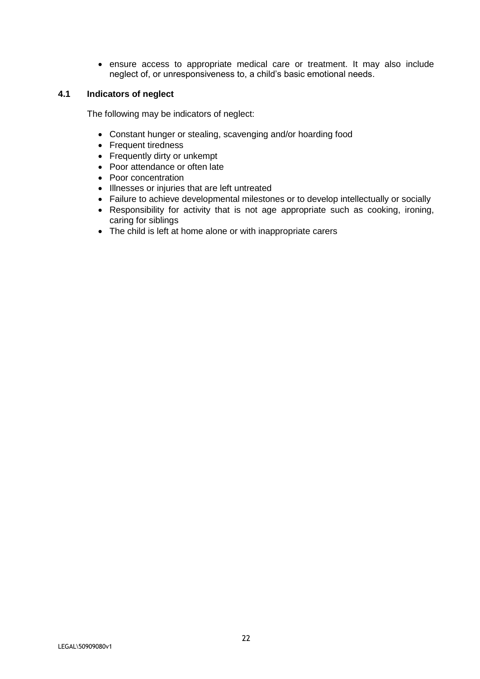• ensure access to appropriate medical care or treatment. It may also include neglect of, or unresponsiveness to, a child's basic emotional needs.

### **4.1 Indicators of neglect**

The following may be indicators of neglect:

- Constant hunger or stealing, scavenging and/or hoarding food
- Frequent tiredness
- Frequently dirty or unkempt
- Poor attendance or often late
- Poor concentration
- Illnesses or injuries that are left untreated
- Failure to achieve developmental milestones or to develop intellectually or socially
- Responsibility for activity that is not age appropriate such as cooking, ironing, caring for siblings
- The child is left at home alone or with inappropriate carers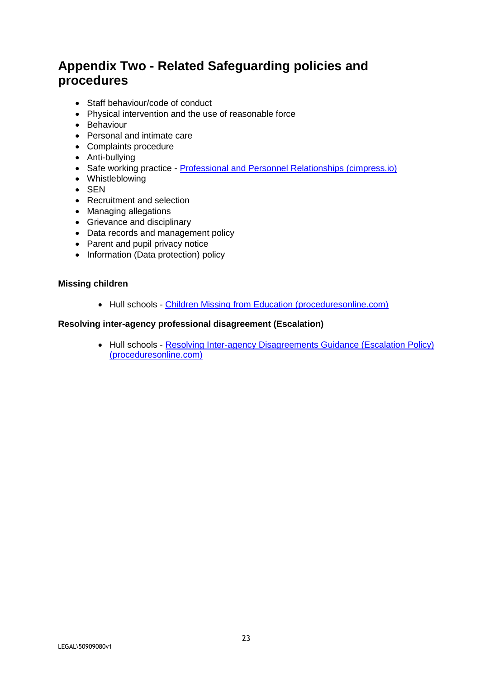# **Appendix Two - Related Safeguarding policies and procedures**

- Staff behaviour/code of conduct
- Physical intervention and the use of reasonable force
- Behaviour
- Personal and intimate care
- Complaints procedure
- Anti-bullying
- Safe working practice [Professional and Personnel Relationships \(cimpress.io\)](https://c-cluster-110.uploads.documents.cimpress.io/v1/uploads/13ecce28-e8f2-49e9-83c6-c29337cd8071~110/original?tenant=vbu-digital)
- Whistleblowing
- SEN
- Recruitment and selection
- Managing allegations
- Grievance and disciplinary
- Data records and management policy
- Parent and pupil privacy notice
- Information (Data protection) policy

### **Missing children**

• Hull schools - [Children Missing from Education \(proceduresonline.com\)](https://hullscb.proceduresonline.com/chapters/p_ch_missing_educ.html)

### **Resolving inter-agency professional disagreement (Escalation)**

• Hull schools - [Resolving Inter-agency Disagreements Guidance \(Escalation Policy\)](https://hullscb.proceduresonline.com/chapters/p_resolving.html)  [\(proceduresonline.com\)](https://hullscb.proceduresonline.com/chapters/p_resolving.html)